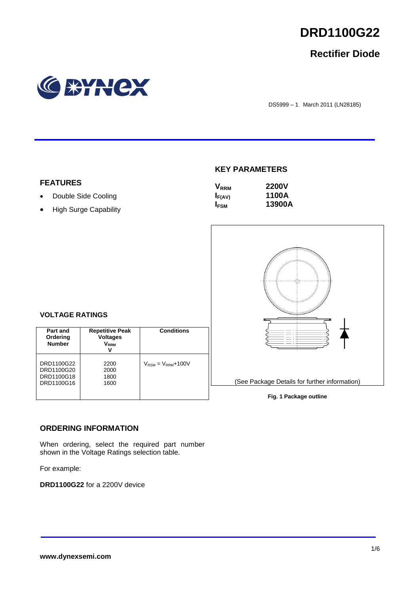

# **Rectifier Diode**



DS5999 – 1 March 2011 (LN28185)

### **KEY PARAMETERS**

| <b>V</b> <sub>RRM</sub> | <b>2200V</b> |
|-------------------------|--------------|
| $I_{F(AV)}$             | 1100A        |
| <b>IFSM</b>             | 13900A       |



# **Fig. 1 Package outline**

### **VOLTAGE RATINGS**

**FEATURES**

• Double Side Cooling • High Surge Capability

| Part and<br>Ordering<br><b>Number</b>                | <b>Repetitive Peak</b><br><b>Voltages</b><br><b>V</b> <sub>RRM</sub><br>v | <b>Conditions</b>                        |
|------------------------------------------------------|---------------------------------------------------------------------------|------------------------------------------|
| DRD1100G22<br>DRD1100G20<br>DRD1100G18<br>DRD1100G16 | 2200<br>2000<br>1800<br>1600                                              | $V_{\text{RSM}} = V_{\text{RRM}} + 100V$ |

### **ORDERING INFORMATION**

When ordering, select the required part number shown in the Voltage Ratings selection table.

For example:

**DRD1100G22** for a 2200V device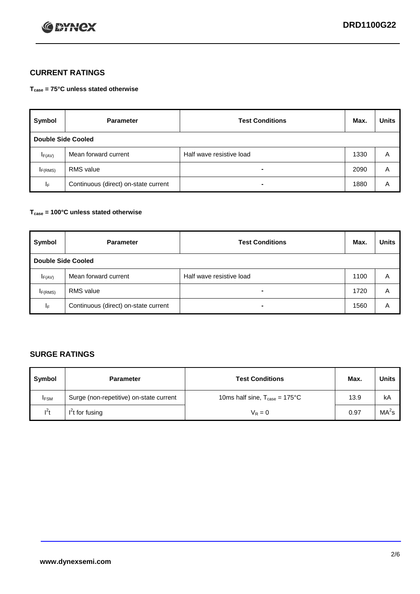

# **CURRENT RATINGS**

**Tcase = 75°C unless stated otherwise**

| Symbol              | <b>Parameter</b>                     | <b>Test Conditions</b>   | Max. | <b>Units</b> |  |
|---------------------|--------------------------------------|--------------------------|------|--------------|--|
|                     | Double Side Cooled                   |                          |      |              |  |
| $I_{F(AV)}$         | Mean forward current                 | Half wave resistive load | 1330 | A            |  |
| I <sub>F(RMS)</sub> | <b>RMS</b> value                     | -                        | 2090 | A            |  |
| IF.                 | Continuous (direct) on-state current | -                        | 1880 | A            |  |

### **Tcase = 100°C unless stated otherwise**

| Symbol                    | <b>Parameter</b>                     | <b>Test Conditions</b>   | Max. | <b>Units</b> |
|---------------------------|--------------------------------------|--------------------------|------|--------------|
| <b>Double Side Cooled</b> |                                      |                          |      |              |
| $I_{F(AV)}$               | Mean forward current                 | Half wave resistive load | 1100 | Α            |
| $I_{F(RMS)}$              | <b>RMS</b> value                     | $\overline{\phantom{0}}$ | 1720 | A            |
| IF                        | Continuous (direct) on-state current | ۰                        | 1560 | A            |

## **SURGE RATINGS**

| Symbol      | <b>Parameter</b>                        | <b>Test Conditions</b>                            | Max. | <b>Units</b> |
|-------------|-----------------------------------------|---------------------------------------------------|------|--------------|
| <b>IFSM</b> | Surge (non-repetitive) on-state current | 10ms half sine, $T_{\text{case}} = 175^{\circ}$ C | 13.9 | kA           |
| $I^2t$      | I't for fusing                          | $V_R = 0$                                         | 0.97 | $MA^2s$      |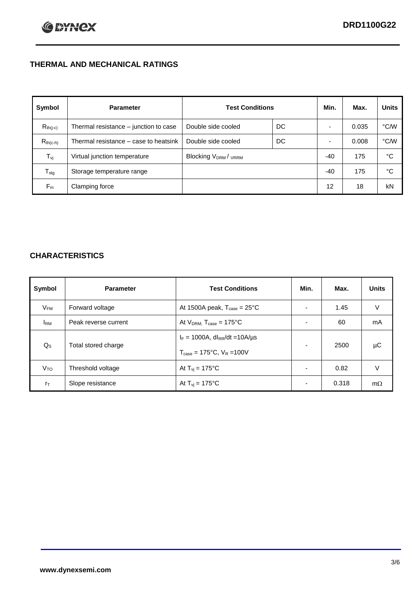# **THERMAL AND MECHANICAL RATINGS**

| Symbol           | <b>Parameter</b>                      | <b>Test Conditions</b>                      |    | Min.  | Max.  | <b>Units</b> |
|------------------|---------------------------------------|---------------------------------------------|----|-------|-------|--------------|
| $R_{th(j-c)}$    | Thermal resistance – junction to case | Double side cooled                          | DC |       | 0.035 | °C/W         |
| $R_{th(c-h)}$    | Thermal resistance – case to heatsink | Double side cooled                          | DC |       | 0.008 | °C/W         |
| $T_{\rm vj}$     | Virtual junction temperature          | Blocking V <sub>DRM</sub> / <sub>VRRM</sub> |    | $-40$ | 175   | °C           |
| $T_{\text{stg}}$ | Storage temperature range             |                                             |    | $-40$ | 175   | °C           |
| $F_m$            | Clamping force                        |                                             |    | 12    | 18    | kN           |

## **CHARACTERISTICS**

| Symbol                 | <b>Parameter</b>     | <b>Test Conditions</b>                                                                           | Min.                     | Max.  | <b>Units</b> |
|------------------------|----------------------|--------------------------------------------------------------------------------------------------|--------------------------|-------|--------------|
| $V_{FM}$               | Forward voltage      | At 1500A peak, $T_{\text{case}} = 25^{\circ}C$                                                   |                          | 1.45  | V            |
| <b>I</b> <sub>RM</sub> | Peak reverse current | At $V_{DRM}$ , $T_{case} = 175^{\circ}C$                                                         |                          | 60    | mA           |
| $Q_{S}$                | Total stored charge  | $I_F = 1000A$ , dl <sub>RR</sub> /dt = 10A/us<br>$T_{\text{case}} = 175^{\circ}C$ , $V_R = 100V$ |                          | 2500  | μC           |
| V <sub>TO</sub>        | Threshold voltage    | At $T_{vi} = 175^{\circ}C$                                                                       | $\blacksquare$           | 0.82  | V            |
| $r_{\text{T}}$         | Slope resistance     | At $T_{vi}$ = 175°C                                                                              | $\overline{\phantom{0}}$ | 0.318 | $m\Omega$    |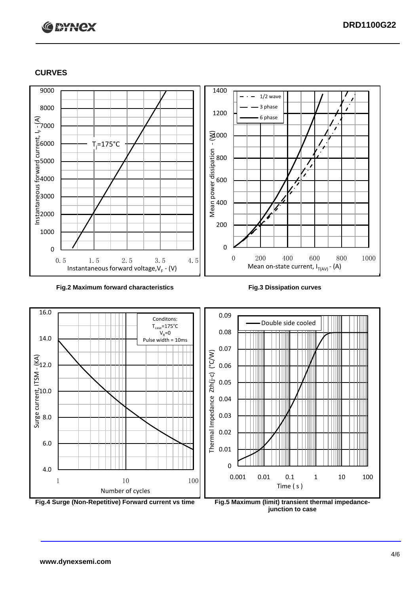# **C BYNCX**

## **CURVES**



### **Fig.2 Maximum forward characteristics Fig.3 Dissipation curves**





**junction to case**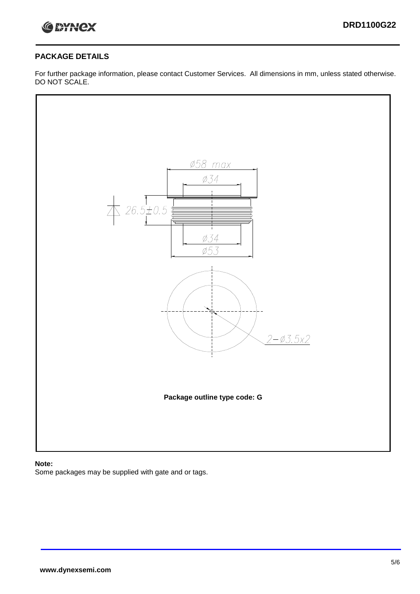

## **PACKAGE DETAILS**

For further package information, please contact Customer Services. All dimensions in mm, unless stated otherwise. DO NOT SCALE.



### **Note:**

Some packages may be supplied with gate and or tags.